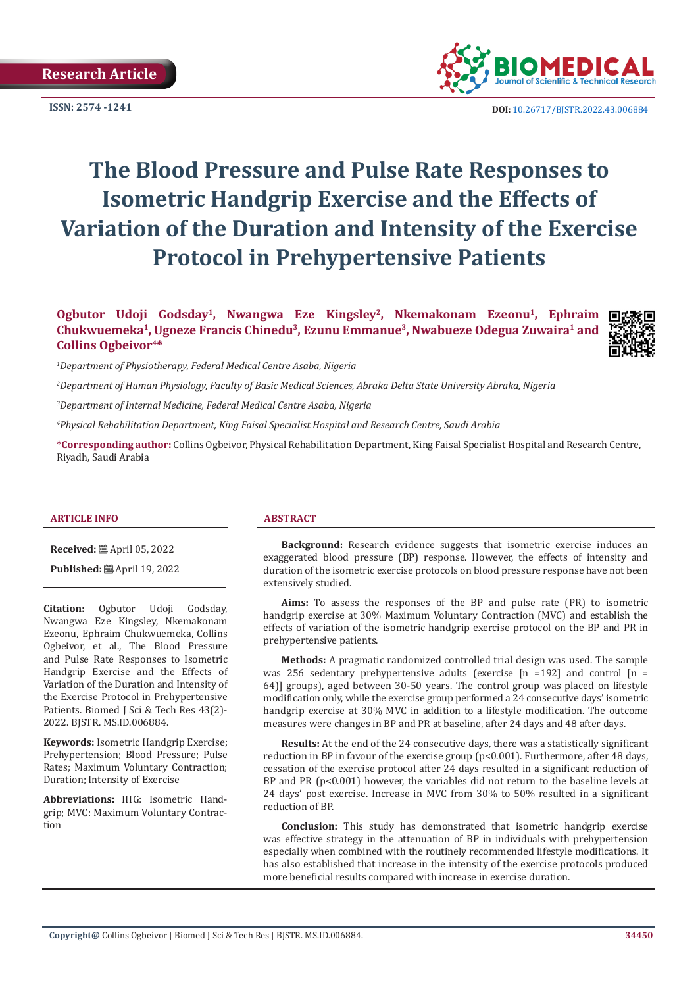

**ISSN:** 2574 -1241 **DOI:** [10.26717/BJSTR.2022.43.006884](https://dx.doi.org/10.26717/BJSTR.2022.43.006884)

# **The Blood Pressure and Pulse Rate Responses to Isometric Handgrip Exercise and the Effects of Variation of the Duration and Intensity of the Exercise Protocol in Prehypertensive Patients**

**Ogbutor Udoji Godsday1, Nwangwa Eze Kingsley2, Nkemakonam Ezeonu1, Ephraim Chukwuemeka1, Ugoeze Francis Chinedu3, Ezunu Emmanue3, Nwabueze Odegua Zuwaira1 and Collins Ogbeivor4\***



*1 Department of Physiotherapy, Federal Medical Centre Asaba, Nigeria* 

*2 Department of Human Physiology, Faculty of Basic Medical Sciences, Abraka Delta State University Abraka, Nigeria*

*3 Department of Internal Medicine, Federal Medical Centre Asaba, Nigeria*

*4 Physical Rehabilitation Department, King Faisal Specialist Hospital and Research Centre, Saudi Arabia*

**\*Corresponding author:** Collins Ogbeivor, Physical Rehabilitation Department, King Faisal Specialist Hospital and Research Centre, Riyadh, Saudi Arabia

#### **ARTICLE INFO ABSTRACT**

**Received:** April 05, 2022

**Published:** ■ April 19, 2022

**Citation:** Ogbutor Udoji Godsday, Nwangwa Eze Kingsley, Nkemakonam Ezeonu, Ephraim Chukwuemeka, Collins Ogbeivor, et al., The Blood Pressure and Pulse Rate Responses to Isometric Handgrip Exercise and the Effects of Variation of the Duration and Intensity of the Exercise Protocol in Prehypertensive Patients. Biomed J Sci & Tech Res 43(2)- 2022. BJSTR. MS.ID.006884.

**Keywords:** Isometric Handgrip Exercise; Prehypertension; Blood Pressure; Pulse Rates; Maximum Voluntary Contraction; Duration; Intensity of Exercise

**Abbreviations:** IHG: Isometric Handgrip; MVC: Maximum Voluntary Contraction

**Background:** Research evidence suggests that isometric exercise induces an exaggerated blood pressure (BP) response. However, the effects of intensity and duration of the isometric exercise protocols on blood pressure response have not been extensively studied.

**Aims:** To assess the responses of the BP and pulse rate (PR) to isometric handgrip exercise at 30% Maximum Voluntary Contraction (MVC) and establish the effects of variation of the isometric handgrip exercise protocol on the BP and PR in prehypertensive patients.

**Methods:** A pragmatic randomized controlled trial design was used. The sample was 256 sedentary prehypertensive adults (exercise  $[n = 192]$  and control  $[n = 192]$ 64)] groups), aged between 30-50 years. The control group was placed on lifestyle modification only, while the exercise group performed a 24 consecutive days' isometric handgrip exercise at 30% MVC in addition to a lifestyle modification. The outcome measures were changes in BP and PR at baseline, after 24 days and 48 after days.

**Results:** At the end of the 24 consecutive days, there was a statistically significant reduction in BP in favour of the exercise group (p<0.001). Furthermore, after 48 days, cessation of the exercise protocol after 24 days resulted in a significant reduction of BP and PR (p<0.001) however, the variables did not return to the baseline levels at 24 days' post exercise. Increase in MVC from 30% to 50% resulted in a significant reduction of BP.

**Conclusion:** This study has demonstrated that isometric handgrip exercise was effective strategy in the attenuation of BP in individuals with prehypertension especially when combined with the routinely recommended lifestyle modifications. It has also established that increase in the intensity of the exercise protocols produced more beneficial results compared with increase in exercise duration.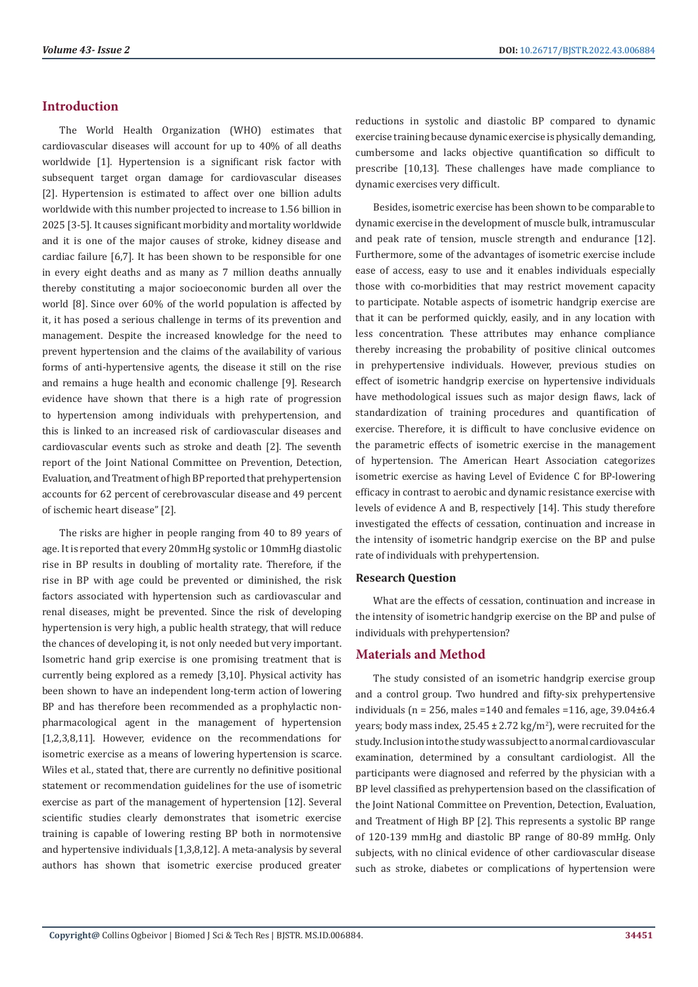# **Introduction**

The World Health Organization (WHO) estimates that cardiovascular diseases will account for up to 40% of all deaths worldwide [1]. Hypertension is a significant risk factor with subsequent target organ damage for cardiovascular diseases [2]. Hypertension is estimated to affect over one billion adults worldwide with this number projected to increase to 1.56 billion in 2025 [3-5]. It causes significant morbidity and mortality worldwide and it is one of the major causes of stroke, kidney disease and cardiac failure [6,7]. It has been shown to be responsible for one in every eight deaths and as many as 7 million deaths annually thereby constituting a major socioeconomic burden all over the world [8]. Since over 60% of the world population is affected by it, it has posed a serious challenge in terms of its prevention and management. Despite the increased knowledge for the need to prevent hypertension and the claims of the availability of various forms of anti-hypertensive agents, the disease it still on the rise and remains a huge health and economic challenge [9]. Research evidence have shown that there is a high rate of progression to hypertension among individuals with prehypertension, and this is linked to an increased risk of cardiovascular diseases and cardiovascular events such as stroke and death [2]. The seventh report of the Joint National Committee on Prevention, Detection, Evaluation, and Treatment of high BP reported that prehypertension accounts for 62 percent of cerebrovascular disease and 49 percent of ischemic heart disease" [2].

The risks are higher in people ranging from 40 to 89 years of age. It is reported that every 20mmHg systolic or 10mmHg diastolic rise in BP results in doubling of mortality rate. Therefore, if the rise in BP with age could be prevented or diminished, the risk factors associated with hypertension such as cardiovascular and renal diseases, might be prevented. Since the risk of developing hypertension is very high, a public health strategy, that will reduce the chances of developing it, is not only needed but very important. Isometric hand grip exercise is one promising treatment that is currently being explored as a remedy [3,10]. Physical activity has been shown to have an independent long-term action of lowering BP and has therefore been recommended as a prophylactic nonpharmacological agent in the management of hypertension [1,2,3,8,11]. However, evidence on the recommendations for isometric exercise as a means of lowering hypertension is scarce. Wiles et al., stated that, there are currently no definitive positional statement or recommendation guidelines for the use of isometric exercise as part of the management of hypertension [12]. Several scientific studies clearly demonstrates that isometric exercise training is capable of lowering resting BP both in normotensive and hypertensive individuals [1,3,8,12]. A meta-analysis by several authors has shown that isometric exercise produced greater reductions in systolic and diastolic BP compared to dynamic exercise training because dynamic exercise is physically demanding, cumbersome and lacks objective quantification so difficult to prescribe [10,13]. These challenges have made compliance to dynamic exercises very difficult.

Besides, isometric exercise has been shown to be comparable to dynamic exercise in the development of muscle bulk, intramuscular and peak rate of tension, muscle strength and endurance [12]. Furthermore, some of the advantages of isometric exercise include ease of access, easy to use and it enables individuals especially those with co-morbidities that may restrict movement capacity to participate. Notable aspects of isometric handgrip exercise are that it can be performed quickly, easily, and in any location with less concentration. These attributes may enhance compliance thereby increasing the probability of positive clinical outcomes in prehypertensive individuals. However, previous studies on effect of isometric handgrip exercise on hypertensive individuals have methodological issues such as major design flaws, lack of standardization of training procedures and quantification of exercise. Therefore, it is difficult to have conclusive evidence on the parametric effects of isometric exercise in the management of hypertension. The American Heart Association categorizes isometric exercise as having Level of Evidence C for BP-lowering efficacy in contrast to aerobic and dynamic resistance exercise with levels of evidence A and B, respectively [14]. This study therefore investigated the effects of cessation, continuation and increase in the intensity of isometric handgrip exercise on the BP and pulse rate of individuals with prehypertension.

#### **Research Question**

What are the effects of cessation, continuation and increase in the intensity of isometric handgrip exercise on the BP and pulse of individuals with prehypertension?

# **Materials and Method**

The study consisted of an isometric handgrip exercise group and a control group. Two hundred and fifty-six prehypertensive individuals ( $n = 256$ , males =140 and females =116, age, 39.04 $\pm$ 6.4 years; body mass index,  $25.45 \pm 2.72 \text{ kg/m}^2$ ), were recruited for the study. Inclusion into the study was subject to a normal cardiovascular examination, determined by a consultant cardiologist. All the participants were diagnosed and referred by the physician with a BP level classified as prehypertension based on the classification of the Joint National Committee on Prevention, Detection, Evaluation, and Treatment of High BP [2]. This represents a systolic BP range of 120-139 mmHg and diastolic BP range of 80-89 mmHg. Only subjects, with no clinical evidence of other cardiovascular disease such as stroke, diabetes or complications of hypertension were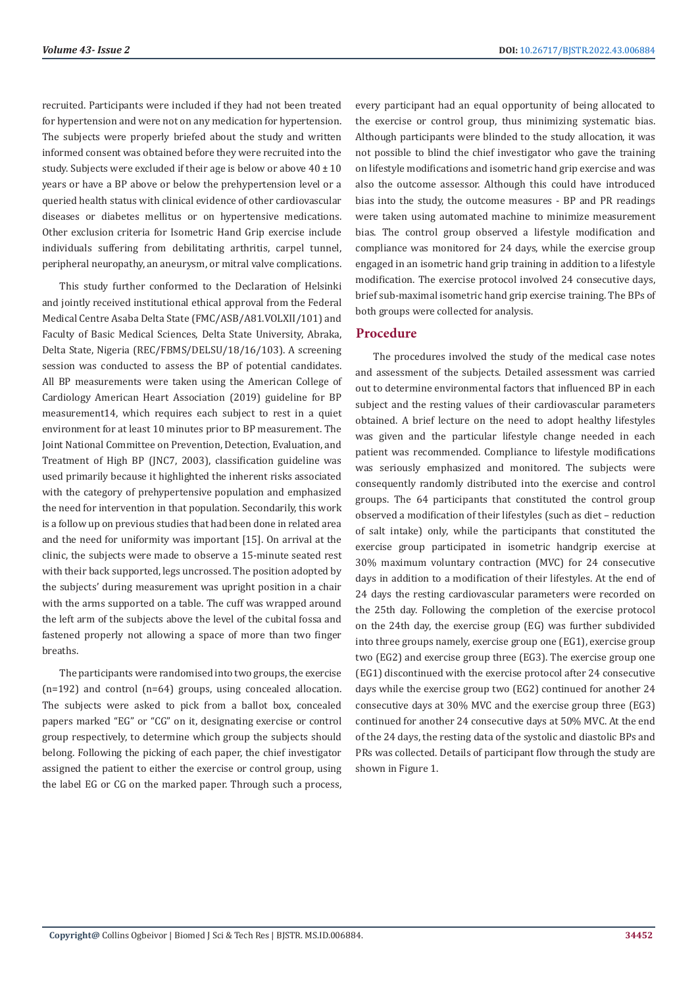recruited. Participants were included if they had not been treated for hypertension and were not on any medication for hypertension. The subjects were properly briefed about the study and written informed consent was obtained before they were recruited into the study. Subjects were excluded if their age is below or above 40 ± 10 years or have a BP above or below the prehypertension level or a queried health status with clinical evidence of other cardiovascular diseases or diabetes mellitus or on hypertensive medications. Other exclusion criteria for Isometric Hand Grip exercise include individuals suffering from debilitating arthritis, carpel tunnel, peripheral neuropathy, an aneurysm, or mitral valve complications.

This study further conformed to the Declaration of Helsinki and jointly received institutional ethical approval from the Federal Medical Centre Asaba Delta State (FMC/ASB/A81.VOLXII/101) and Faculty of Basic Medical Sciences, Delta State University, Abraka, Delta State, Nigeria (REC/FBMS/DELSU/18/16/103). A screening session was conducted to assess the BP of potential candidates. All BP measurements were taken using the American College of Cardiology American Heart Association (2019) guideline for BP measurement14, which requires each subject to rest in a quiet environment for at least 10 minutes prior to BP measurement. The Joint National Committee on Prevention, Detection, Evaluation, and Treatment of High BP (JNC7, 2003), classification guideline was used primarily because it highlighted the inherent risks associated with the category of prehypertensive population and emphasized the need for intervention in that population. Secondarily, this work is a follow up on previous studies that had been done in related area and the need for uniformity was important [15]. On arrival at the clinic, the subjects were made to observe a 15-minute seated rest with their back supported, legs uncrossed. The position adopted by the subjects' during measurement was upright position in a chair with the arms supported on a table. The cuff was wrapped around the left arm of the subjects above the level of the cubital fossa and fastened properly not allowing a space of more than two finger breaths.

The participants were randomised into two groups, the exercise (n=192) and control (n=64) groups, using concealed allocation. The subjects were asked to pick from a ballot box, concealed papers marked "EG" or "CG" on it, designating exercise or control group respectively, to determine which group the subjects should belong. Following the picking of each paper, the chief investigator assigned the patient to either the exercise or control group, using the label EG or CG on the marked paper. Through such a process,

every participant had an equal opportunity of being allocated to the exercise or control group, thus minimizing systematic bias. Although participants were blinded to the study allocation, it was not possible to blind the chief investigator who gave the training on lifestyle modifications and isometric hand grip exercise and was also the outcome assessor. Although this could have introduced bias into the study, the outcome measures - BP and PR readings were taken using automated machine to minimize measurement bias. The control group observed a lifestyle modification and compliance was monitored for 24 days, while the exercise group engaged in an isometric hand grip training in addition to a lifestyle modification. The exercise protocol involved 24 consecutive days, brief sub-maximal isometric hand grip exercise training. The BPs of both groups were collected for analysis.

# **Procedure**

The procedures involved the study of the medical case notes and assessment of the subjects. Detailed assessment was carried out to determine environmental factors that influenced BP in each subject and the resting values of their cardiovascular parameters obtained. A brief lecture on the need to adopt healthy lifestyles was given and the particular lifestyle change needed in each patient was recommended. Compliance to lifestyle modifications was seriously emphasized and monitored. The subjects were consequently randomly distributed into the exercise and control groups. The 64 participants that constituted the control group observed a modification of their lifestyles (such as diet – reduction of salt intake) only, while the participants that constituted the exercise group participated in isometric handgrip exercise at 30% maximum voluntary contraction (MVC) for 24 consecutive days in addition to a modification of their lifestyles. At the end of 24 days the resting cardiovascular parameters were recorded on the 25th day. Following the completion of the exercise protocol on the 24th day, the exercise group (EG) was further subdivided into three groups namely, exercise group one (EG1), exercise group two (EG2) and exercise group three (EG3). The exercise group one (EG1) discontinued with the exercise protocol after 24 consecutive days while the exercise group two (EG2) continued for another 24 consecutive days at 30% MVC and the exercise group three (EG3) continued for another 24 consecutive days at 50% MVC. At the end of the 24 days, the resting data of the systolic and diastolic BPs and PRs was collected. Details of participant flow through the study are shown in Figure 1.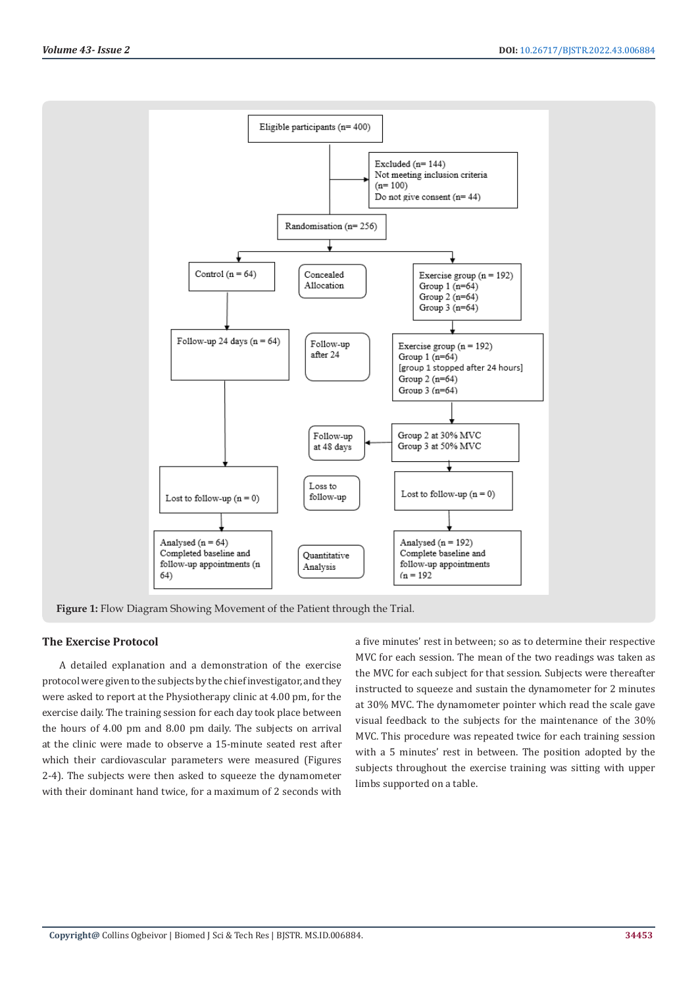

**Figure 1:** Flow Diagram Showing Movement of the Patient through the Trial.

# **The Exercise Protocol**

A detailed explanation and a demonstration of the exercise protocol were given to the subjects by the chief investigator, and they were asked to report at the Physiotherapy clinic at 4.00 pm, for the exercise daily. The training session for each day took place between the hours of 4.00 pm and 8.00 pm daily. The subjects on arrival at the clinic were made to observe a 15-minute seated rest after which their cardiovascular parameters were measured (Figures 2-4). The subjects were then asked to squeeze the dynamometer with their dominant hand twice, for a maximum of 2 seconds with

a five minutes' rest in between; so as to determine their respective MVC for each session. The mean of the two readings was taken as the MVC for each subject for that session. Subjects were thereafter instructed to squeeze and sustain the dynamometer for 2 minutes at 30% MVC. The dynamometer pointer which read the scale gave visual feedback to the subjects for the maintenance of the 30% MVC. This procedure was repeated twice for each training session with a 5 minutes' rest in between. The position adopted by the subjects throughout the exercise training was sitting with upper limbs supported on a table.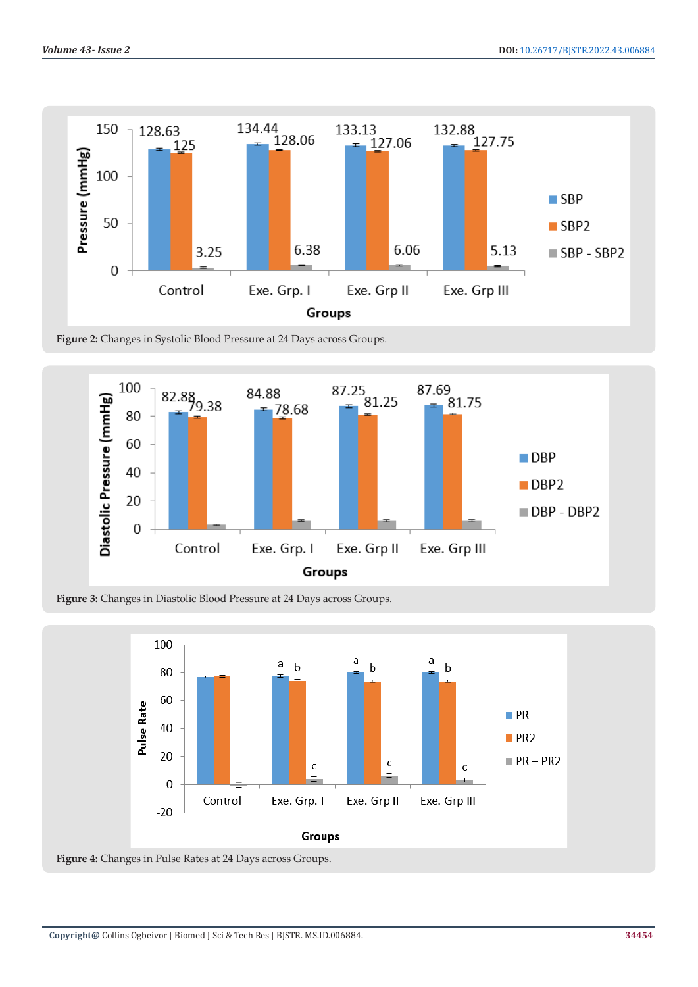

**Figure 2:** Changes in Systolic Blood Pressure at 24 Days across Groups.



**Figure 3:** Changes in Diastolic Blood Pressure at 24 Days across Groups.



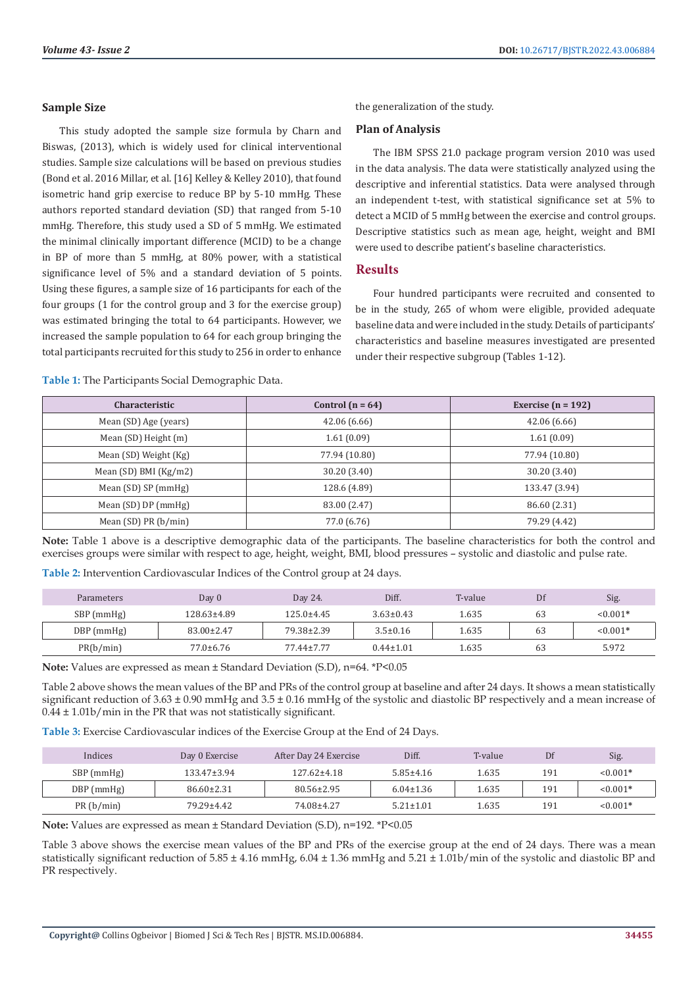#### **Sample Size**

This study adopted the sample size formula by Charn and Biswas, (2013), which is widely used for clinical interventional studies. Sample size calculations will be based on previous studies (Bond et al. 2016 Millar, et al. [16] Kelley & Kelley 2010), that found isometric hand grip exercise to reduce BP by 5-10 mmHg. These authors reported standard deviation (SD) that ranged from 5-10 mmHg. Therefore, this study used a SD of 5 mmHg. We estimated the minimal clinically important difference (MCID) to be a change in BP of more than 5 mmHg, at 80% power, with a statistical significance level of 5% and a standard deviation of 5 points. Using these figures, a sample size of 16 participants for each of the four groups (1 for the control group and 3 for the exercise group) was estimated bringing the total to 64 participants. However, we increased the sample population to 64 for each group bringing the total participants recruited for this study to 256 in order to enhance

the generalization of the study.

#### **Plan of Analysis**

The IBM SPSS 21.0 package program version 2010 was used in the data analysis. The data were statistically analyzed using the descriptive and inferential statistics. Data were analysed through an independent t-test, with statistical significance set at 5% to detect a MCID of 5 mmHg between the exercise and control groups. Descriptive statistics such as mean age, height, weight and BMI were used to describe patient's baseline characteristics.

# **Results**

Four hundred participants were recruited and consented to be in the study, 265 of whom were eligible, provided adequate baseline data and were included in the study. Details of participants' characteristics and baseline measures investigated are presented under their respective subgroup (Tables 1-12).

**Table 1:** The Participants Social Demographic Data.

| <b>Characteristic</b>     | Control $(n = 64)$ | Exercise ( $n = 192$ ) |
|---------------------------|--------------------|------------------------|
| Mean (SD) Age (years)     | 42.06 (6.66)       | 42.06(6.66)            |
| Mean (SD) Height (m)      | 1.61(0.09)         | 1.61(0.09)             |
| Mean (SD) Weight (Kg)     | 77.94 (10.80)      | 77.94 (10.80)          |
| Mean $(SD)$ BMI $(Kg/m2)$ | 30.20 (3.40)       | 30.20 (3.40)           |
| Mean (SD) SP (mmHg)       | 128.6 (4.89)       | 133.47 (3.94)          |
| Mean $(SD)$ DP $(mmHg)$   | 83.00 (2.47)       | 86.60 (2.31)           |
| Mean $(SD)$ PR $(b/min)$  | 77.0 (6.76)        | 79.29 (4.42)           |

**Note:** Table 1 above is a descriptive demographic data of the participants. The baseline characteristics for both the control and exercises groups were similar with respect to age, height, weight, BMI, blood pressures – systolic and diastolic and pulse rate.

**Table 2:** Intervention Cardiovascular Indices of the Control group at 24 days.

| <b>Parameters</b> | Day $0$         | Day 24.          | Diff.           | T-value | Df | Sig.       |
|-------------------|-----------------|------------------|-----------------|---------|----|------------|
| SBP (mmHg)        | 128.63±4.89     | $125.0 \pm 4.45$ | $3.63 \pm 0.43$ | 1.635   | 63 | $< 0.001*$ |
| DBP (mmHg)        | 83.00±2.47      | 79.38±2.39       | $3.5 \pm 0.16$  | 1.635   | 63 | $< 0.001*$ |
| PR(b/min)         | $77.0 \pm 6.76$ | 77.44±7.77       | $0.44 \pm 1.01$ | 1.635   | 63 | 5.972      |

**Note:** Values are expressed as mean ± Standard Deviation (S.D), n=64. \*P<0.05

Table 2 above shows the mean values of the BP and PRs of the control group at baseline and after 24 days. It shows a mean statistically significant reduction of  $3.63 \pm 0.90$  mmHg and  $3.5 \pm 0.16$  mmHg of the systolic and diastolic BP respectively and a mean increase of 0.44 ± 1.01b/min in the PR that was not statistically significant.

**Table 3:** Exercise Cardiovascular indices of the Exercise Group at the End of 24 Days.

| Indices      | Day 0 Exercise    | After Day 24 Exercise | Diff.           | T-value | Df  | Sig.       |
|--------------|-------------------|-----------------------|-----------------|---------|-----|------------|
| SBP (mmHg)   | $133.47 \pm 3.94$ | $127.62 \pm 4.18$     | $5.85 \pm 4.16$ | 1.635   | 191 | $< 0.001*$ |
| $DBP$ (mmHg) | $86.60 \pm 2.31$  | $80.56 \pm 2.95$      | $6.04 \pm 1.36$ | 1.635   | 191 | $< 0.001*$ |
| PR(b/min)    | 79.29±4.42        | 74.08±4.27            | $5.21 \pm 1.01$ | 1.635   | 191 | $< 0.001*$ |

**Note:** Values are expressed as mean ± Standard Deviation (S.D), n=192. \*P<0.05

Table 3 above shows the exercise mean values of the BP and PRs of the exercise group at the end of 24 days. There was a mean statistically significant reduction of  $5.85 \pm 4.16$  mmHg,  $6.04 \pm 1.36$  mmHg and  $5.21 \pm 1.01$ b/min of the systolic and diastolic BP and PR respectively.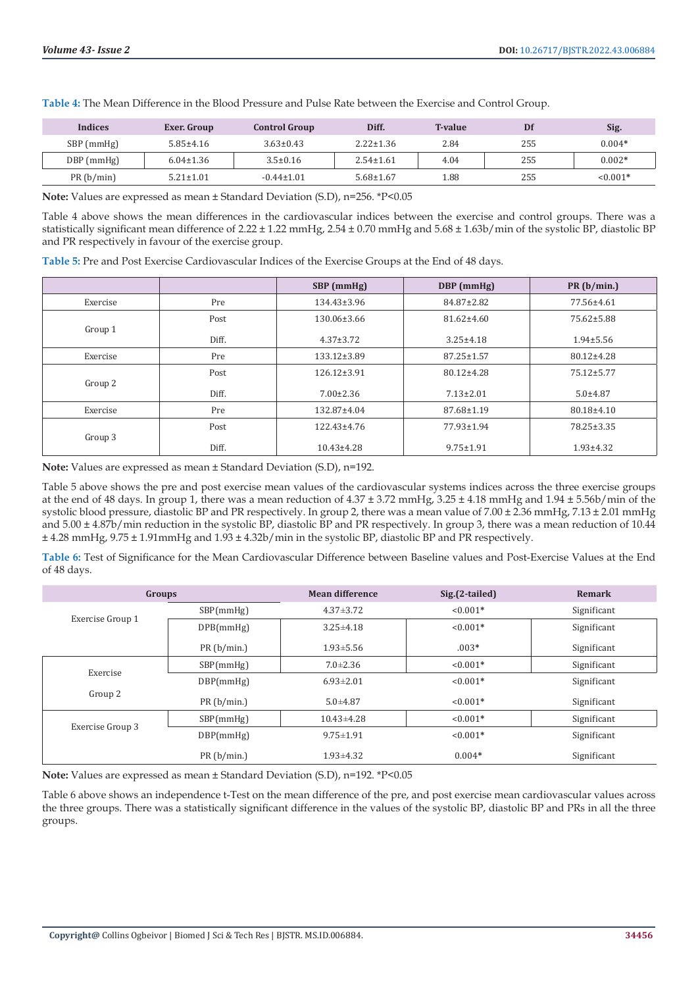| Indices    | Exer. Group     | <b>Control Group</b> | Diff.           | <b>T-value</b> | Df  | Sig.       |
|------------|-----------------|----------------------|-----------------|----------------|-----|------------|
| SBP (mmHg) | $5.85 \pm 4.16$ | $3.63 \pm 0.43$      | $2.22 \pm 1.36$ | 2.84           | 255 | $0.004*$   |
| DBP (mmHg) | $6.04 \pm 1.36$ | $3.5 \pm 0.16$       | $2.54 \pm 1.61$ | 4.04           | 255 | $0.002*$   |
| PR(b/min)  | $5.21 \pm 1.01$ | $-0.44 \pm 1.01$     | $5.68 \pm 1.67$ | 1.88           | 255 | $< 0.001*$ |

**Table 4:** The Mean Difference in the Blood Pressure and Pulse Rate between the Exercise and Control Group.

**Note:** Values are expressed as mean ± Standard Deviation (S.D), n=256. \*P<0.05

Table 4 above shows the mean differences in the cardiovascular indices between the exercise and control groups. There was a statistically significant mean difference of 2.22 ± 1.22 mmHg, 2.54 ± 0.70 mmHg and 5.68 ± 1.63b/min of the systolic BP, diastolic BP and PR respectively in favour of the exercise group.

**Table 5:** Pre and Post Exercise Cardiovascular Indices of the Exercise Groups at the End of 48 days.

|          |       | SBP (mmHg)        | DBP (mmHg)       | PR(b/min.)       |
|----------|-------|-------------------|------------------|------------------|
| Exercise | Pre   | $134.43 \pm 3.96$ | 84.87±2.82       | 77.56±4.61       |
| Group 1  | Post  | 130.06±3.66       | $81.62 \pm 4.60$ | 75.62±5.88       |
|          | Diff. | $4.37 \pm 3.72$   | $3.25 \pm 4.18$  | $1.94 \pm 5.56$  |
| Exercise | Pre   | $133.12 \pm 3.89$ | $87.25 \pm 1.57$ | $80.12 \pm 4.28$ |
| Group 2  | Post  | $126.12 \pm 3.91$ | 80.12±4.28       | 75.12±5.77       |
|          | Diff. | $7.00 \pm 2.36$   | $7.13 \pm 2.01$  | $5.0 + 4.87$     |
| Exercise | Pre   | 132.87±4.04       | 87.68±1.19       | 80.18±4.10       |
| Group 3  | Post  | $122.43 \pm 4.76$ | 77.93±1.94       | 78.25±3.35       |
|          | Diff. | $10.43 \pm 4.28$  | $9.75 \pm 1.91$  | $1.93 \pm 4.32$  |

**Note:** Values are expressed as mean ± Standard Deviation (S.D), n=192.

Table 5 above shows the pre and post exercise mean values of the cardiovascular systems indices across the three exercise groups at the end of 48 days. In group 1, there was a mean reduction of  $4.37 \pm 3.72$  mmHg,  $3.25 \pm 4.18$  mmHg and  $1.94 \pm 5.56$ b/min of the systolic blood pressure, diastolic BP and PR respectively. In group 2, there was a mean value of 7.00 ± 2.36 mmHg, 7.13 ± 2.01 mmHg and  $5.00 \pm 4.87$ b/min reduction in the systolic BP, diastolic BP and PR respectively. In group 3, there was a mean reduction of 10.44 ± 4.28 mmHg, 9.75 ± 1.91mmHg and 1.93 ± 4.32b/min in the systolic BP, diastolic BP and PR respectively.

**Table 6:** Test of Significance for the Mean Cardiovascular Difference between Baseline values and Post-Exercise Values at the End of 48 days.

| Groups           |            | <b>Mean difference</b> | Sig.(2-tailed) | Remark      |
|------------------|------------|------------------------|----------------|-------------|
|                  | SBP(mmHg)  | $4.37 \pm 3.72$        | $< 0.001*$     | Significant |
| Exercise Group 1 | DPB(mmHg)  | $3.25 \pm 4.18$        | $< 0.001*$     | Significant |
|                  | PR(b/min.) | $1.93 \pm 5.56$        | $.003*$        | Significant |
|                  | SBP(mmHg)  | $7.0 \pm 2.36$         | $< 0.001*$     | Significant |
| Exercise         | DBP(mmHg)  | $6.93 \pm 2.01$        | $< 0.001*$     | Significant |
| Group 2          | PR(b/min.) | $5.0 + 4.87$           | $< 0.001*$     | Significant |
|                  | SBP(mmHg)  | $10.43 \pm 4.28$       | $< 0.001*$     | Significant |
| Exercise Group 3 | DBP(mmHg)  | $9.75 \pm 1.91$        | $< 0.001*$     | Significant |
|                  | PR(b/min.) | $1.93 \pm 4.32$        | $0.004*$       | Significant |

**Note:** Values are expressed as mean ± Standard Deviation (S.D), n=192. \*P<0.05

Table 6 above shows an independence t-Test on the mean difference of the pre, and post exercise mean cardiovascular values across the three groups. There was a statistically significant difference in the values of the systolic BP, diastolic BP and PRs in all the three groups.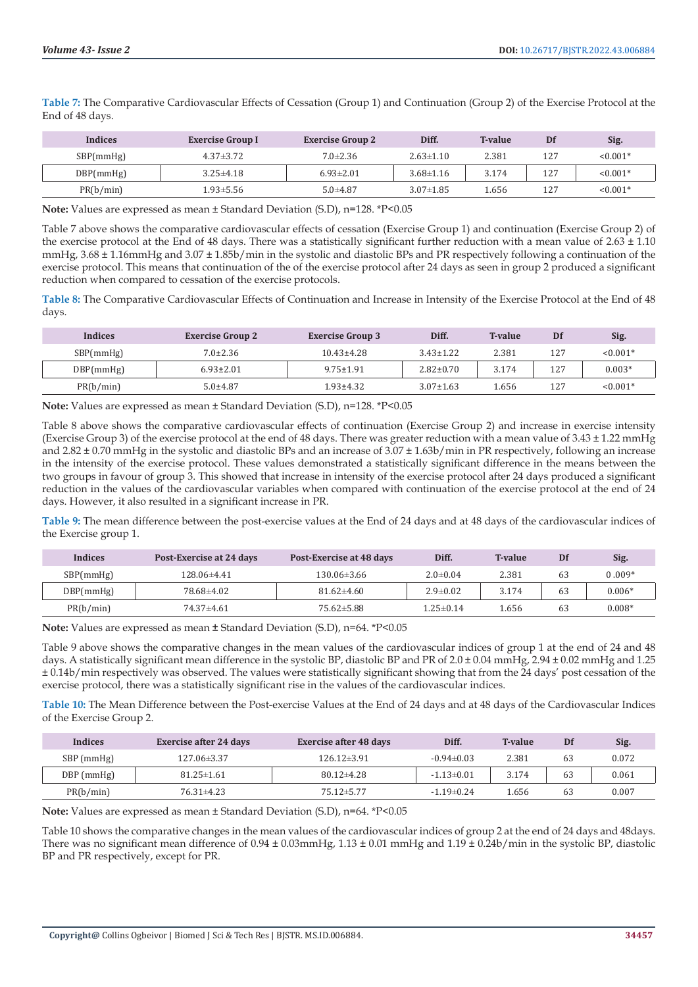**Table 7:** The Comparative Cardiovascular Effects of Cessation (Group 1) and Continuation (Group 2) of the Exercise Protocol at the End of 48 days.

| <b>Indices</b> | <b>Exercise Group I</b> | <b>Exercise Group 2</b> | Diff.           | <b>T-value</b> | Df  | Sig.       |
|----------------|-------------------------|-------------------------|-----------------|----------------|-----|------------|
| SBP(mmHg)      | $4.37 \pm 3.72$         | $7.0 \pm 2.36$          | $2.63 \pm 1.10$ | 2.381          | 127 | $< 0.001*$ |
| DBP(mmHg)      | $3.25 \pm 4.18$         | $6.93 \pm 2.01$         | $3.68 \pm 1.16$ | 3.174          | 127 | $< 0.001*$ |
| PR(b/min)      | 1.93±5.56               | $5.0 + 4.87$            | $3.07 \pm 1.85$ | .656           | 127 | $< 0.001*$ |

**Note:** Values are expressed as mean ± Standard Deviation (S.D), n=128. \*P<0.05

Table 7 above shows the comparative cardiovascular effects of cessation (Exercise Group 1) and continuation (Exercise Group 2) of the exercise protocol at the End of 48 days. There was a statistically significant further reduction with a mean value of  $2.63 \pm 1.10$ mmHg, 3.68 ± 1.16mmHg and 3.07 ± 1.85b/min in the systolic and diastolic BPs and PR respectively following a continuation of the exercise protocol. This means that continuation of the of the exercise protocol after 24 days as seen in group 2 produced a significant reduction when compared to cessation of the exercise protocols.

**Table 8:** The Comparative Cardiovascular Effects of Continuation and Increase in Intensity of the Exercise Protocol at the End of 48 days.

| <b>Indices</b> | <b>Exercise Group 2</b> | <b>Exercise Group 3</b> | Diff.           | <b>T-value</b> | Df  | Sig.       |
|----------------|-------------------------|-------------------------|-----------------|----------------|-----|------------|
| SBP(mmHg)      | $7.0 \pm 2.36$          | $10.43 \pm 4.28$        | $3.43 \pm 1.22$ | 2.381          | 127 | $< 0.001*$ |
| DBP(mmHg)      | $6.93 \pm 2.01$         | $9.75 \pm 1.91$         | $2.82 \pm 0.70$ | 3.174          | 127 | $0.003*$   |
| PR(b/min)      | $5.0 + 4.87$            | 1.93±4.32               | $3.07 \pm 1.63$ | 1.656          | 127 | $< 0.001*$ |

**Note:** Values are expressed as mean ± Standard Deviation (S.D), n=128. \*P<0.05

Table 8 above shows the comparative cardiovascular effects of continuation (Exercise Group 2) and increase in exercise intensity (Exercise Group 3) of the exercise protocol at the end of 48 days. There was greater reduction with a mean value of 3.43 ± 1.22 mmHg and  $2.82 \pm 0.70$  mmHg in the systolic and diastolic BPs and an increase of  $3.07 \pm 1.63$ b/min in PR respectively, following an increase in the intensity of the exercise protocol. These values demonstrated a statistically significant difference in the means between the two groups in favour of group 3. This showed that increase in intensity of the exercise protocol after 24 days produced a significant reduction in the values of the cardiovascular variables when compared with continuation of the exercise protocol at the end of 24 days. However, it also resulted in a significant increase in PR.

**Table 9:** The mean difference between the post-exercise values at the End of 24 days and at 48 days of the cardiovascular indices of the Exercise group 1.

| <b>Indices</b> | Post-Exercise at 24 days | Post-Exercise at 48 days | Diff.           | <b>T-value</b> | Df | Sig.     |
|----------------|--------------------------|--------------------------|-----------------|----------------|----|----------|
| SBP(mmHg)      | 128.06±4.41              | $130.06\pm3.66$          | $2.0 \pm 0.04$  | 2.381          | 63 | $0.009*$ |
| DBP(mmHg)      | 78.68±4.02               | $81.62{\pm}4.60$         | $2.9 \pm 0.02$  | 3.174          | 63 | $0.006*$ |
| PR(b/min)      | 74.37±4.61               | 75.62±5.88               | $1.25 \pm 0.14$ | .656           | 63 | $0.008*$ |

**Note:** Values are expressed as mean **±** Standard Deviation (S.D), n=64. \*P<0.05

Table 9 above shows the comparative changes in the mean values of the cardiovascular indices of group 1 at the end of 24 and 48 days. A statistically significant mean difference in the systolic BP, diastolic BP and PR of 2.0 ± 0.04 mmHg, 2.94 ± 0.02 mmHg and 1.25 ± 0.14b/min respectively was observed. The values were statistically significant showing that from the 24 days' post cessation of the exercise protocol, there was a statistically significant rise in the values of the cardiovascular indices.

**Table 10:** The Mean Difference between the Post-exercise Values at the End of 24 days and at 48 days of the Cardiovascular Indices of the Exercise Group 2.

| <b>Indices</b> | <b>Exercise after 24 days</b> | <b>Exercise after 48 days</b> | Diff.            | <b>T-value</b> | Df | Sig.  |
|----------------|-------------------------------|-------------------------------|------------------|----------------|----|-------|
| SBP (mmHg)     | 127.06 ± 3.37                 | $126.12 \pm 3.91$             | $-0.94 \pm 0.03$ | 2.381          | 63 | 0.072 |
| DBP (mmHg)     | $81.25 \pm 1.61$              | $80.12{\pm}4.28$              | $-1.13 \pm 0.01$ | 3.174          | 63 | 0.061 |
| PR(b/min)      | $76.31 \pm 4.23$              | $75.12 \pm 5.77$              | $-1.19 \pm 0.24$ | 1.656          | 63 | 0.007 |

**Note:** Values are expressed as mean ± Standard Deviation (S.D), n=64. \*P<0.05

Table 10 shows the comparative changes in the mean values of the cardiovascular indices of group 2 at the end of 24 days and 48days. There was no significant mean difference of  $0.94 \pm 0.03$ mmHg,  $1.13 \pm 0.01$  mmHg and  $1.19 \pm 0.24$ b/min in the systolic BP, diastolic BP and PR respectively, except for PR.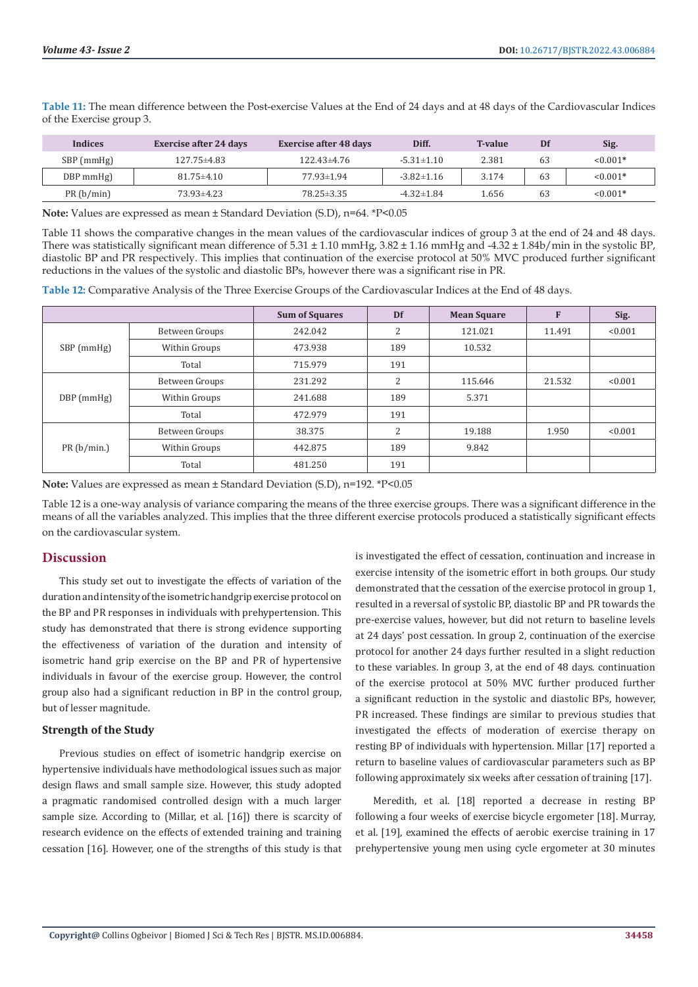| Indices     | <b>Exercise after 24 days</b> | <b>Exercise after 48 days</b> | Diff.            | <b>T-value</b> | Df | Sig.       |
|-------------|-------------------------------|-------------------------------|------------------|----------------|----|------------|
| SBP (mmHg)  | 127.75±4.83                   | 122.43±4.76                   | $-5.31 \pm 1.10$ | 2.381          | 63 | $0.001*$   |
| $DBP$ mmHg) | $81.75 \pm 4.10$              | 77.93±1.94                    | $-3.82 \pm 1.16$ | 3.174          | 63 | $< 0.001*$ |

PR (b/min) 73.93±4.23 78.25±3.35 -4.32±1.84 1.656 63 <0.001**\***

**Table 11:** The mean difference between the Post-exercise Values at the End of 24 days and at 48 days of the Cardiovascular Indices of the Exercise group 3.

**Note:** Values are expressed as mean ± Standard Deviation (S.D), n=64. \*P<0.05

Table 11 shows the comparative changes in the mean values of the cardiovascular indices of group 3 at the end of 24 and 48 days. There was statistically significant mean difference of 5.31 ± 1.10 mmHg, 3.82 ± 1.16 mmHg and -4.32 ± 1.84b/min in the systolic BP, diastolic BP and PR respectively. This implies that continuation of the exercise protocol at 50% MVC produced further significant reductions in the values of the systolic and diastolic BPs, however there was a significant rise in PR.

**Table 12:** Comparative Analysis of the Three Exercise Groups of the Cardiovascular Indices at the End of 48 days.

|              |                | <b>Sum of Squares</b> | Df  | <b>Mean Square</b> | F      | Sig.    |
|--------------|----------------|-----------------------|-----|--------------------|--------|---------|
|              | Between Groups | 242.042               | 2   | 121.021            | 11.491 | < 0.001 |
| SBP (mmHg)   | Within Groups  | 473.938               | 189 | 10.532             |        |         |
|              | Total          | 715.979               | 191 |                    |        |         |
|              | Between Groups | 231.292               | 2   | 115.646            | 21.532 | < 0.001 |
| $DBP$ (mmHg) | Within Groups  | 241.688               | 189 | 5.371              |        |         |
|              | Total          | 472.979               | 191 |                    |        |         |
|              | Between Groups | 38.375                | 2   | 19.188             | 1.950  | < 0.001 |
| PR(b/min.)   | Within Groups  | 442.875               | 189 | 9.842              |        |         |
|              | Total          | 481.250               | 191 |                    |        |         |

**Note:** Values are expressed as mean ± Standard Deviation (S.D), n=192. \*P<0.05

Table 12 is a one-way analysis of variance comparing the means of the three exercise groups. There was a significant difference in the means of all the variables analyzed. This implies that the three different exercise protocols produced a statistically significant effects on the cardiovascular system.

# **Discussion**

This study set out to investigate the effects of variation of the duration and intensity of the isometric handgrip exercise protocol on the BP and PR responses in individuals with prehypertension. This study has demonstrated that there is strong evidence supporting the effectiveness of variation of the duration and intensity of isometric hand grip exercise on the BP and PR of hypertensive individuals in favour of the exercise group. However, the control group also had a significant reduction in BP in the control group, but of lesser magnitude.

# **Strength of the Study**

Previous studies on effect of isometric handgrip exercise on hypertensive individuals have methodological issues such as major design flaws and small sample size. However, this study adopted a pragmatic randomised controlled design with a much larger sample size. According to (Millar, et al. [16]) there is scarcity of research evidence on the effects of extended training and training cessation [16]. However, one of the strengths of this study is that

is investigated the effect of cessation, continuation and increase in exercise intensity of the isometric effort in both groups. Our study demonstrated that the cessation of the exercise protocol in group 1, resulted in a reversal of systolic BP, diastolic BP and PR towards the pre-exercise values, however, but did not return to baseline levels at 24 days' post cessation. In group 2, continuation of the exercise protocol for another 24 days further resulted in a slight reduction to these variables. In group 3, at the end of 48 days. continuation of the exercise protocol at 50% MVC further produced further a significant reduction in the systolic and diastolic BPs, however, PR increased. These findings are similar to previous studies that investigated the effects of moderation of exercise therapy on resting BP of individuals with hypertension. Millar [17] reported a return to baseline values of cardiovascular parameters such as BP following approximately six weeks after cessation of training [17].

Meredith, et al. [18] reported a decrease in resting BP following a four weeks of exercise bicycle ergometer [18]. Murray, et al. [19], examined the effects of aerobic exercise training in 17 prehypertensive young men using cycle ergometer at 30 minutes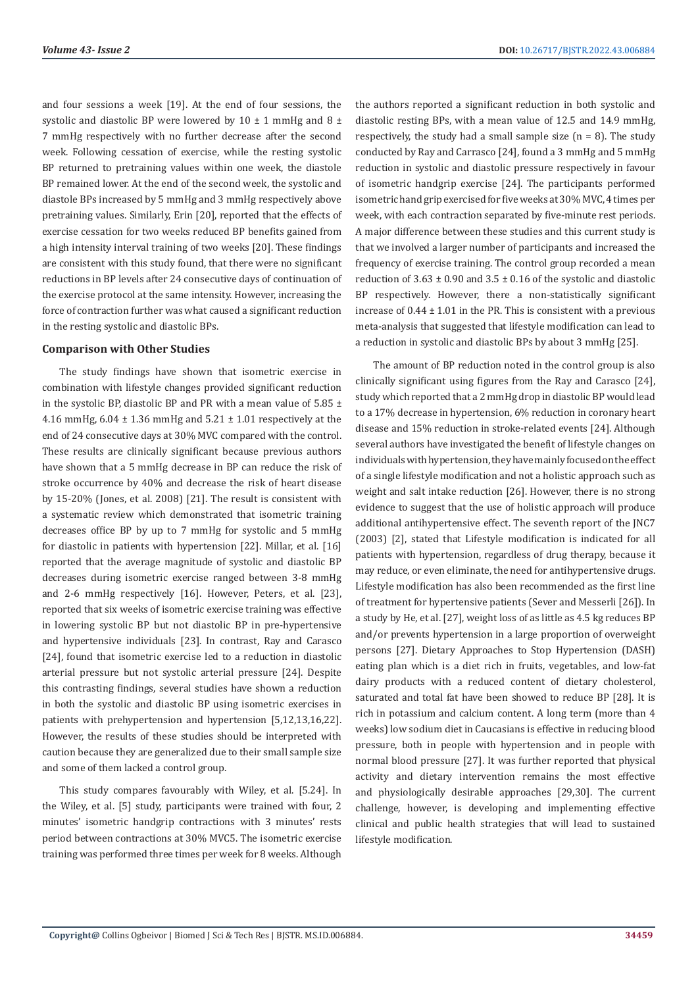and four sessions a week [19]. At the end of four sessions, the systolic and diastolic BP were lowered by  $10 \pm 1$  mmHg and  $8 \pm$ 7 mmHg respectively with no further decrease after the second week. Following cessation of exercise, while the resting systolic BP returned to pretraining values within one week, the diastole BP remained lower. At the end of the second week, the systolic and diastole BPs increased by 5 mmHg and 3 mmHg respectively above pretraining values. Similarly, Erin [20], reported that the effects of exercise cessation for two weeks reduced BP benefits gained from a high intensity interval training of two weeks [20]. These findings are consistent with this study found, that there were no significant reductions in BP levels after 24 consecutive days of continuation of the exercise protocol at the same intensity. However, increasing the force of contraction further was what caused a significant reduction in the resting systolic and diastolic BPs.

#### **Comparison with Other Studies**

The study findings have shown that isometric exercise in combination with lifestyle changes provided significant reduction in the systolic BP, diastolic BP and PR with a mean value of  $5.85 \pm$ 4.16 mmHg,  $6.04 \pm 1.36$  mmHg and  $5.21 \pm 1.01$  respectively at the end of 24 consecutive days at 30% MVC compared with the control. These results are clinically significant because previous authors have shown that a 5 mmHg decrease in BP can reduce the risk of stroke occurrence by 40% and decrease the risk of heart disease by 15-20% (Jones, et al. 2008) [21]. The result is consistent with a systematic review which demonstrated that isometric training decreases office BP by up to 7 mmHg for systolic and 5 mmHg for diastolic in patients with hypertension [22]. Millar, et al. [16] reported that the average magnitude of systolic and diastolic BP decreases during isometric exercise ranged between 3-8 mmHg and 2-6 mmHg respectively [16]. However, Peters, et al. [23], reported that six weeks of isometric exercise training was effective in lowering systolic BP but not diastolic BP in pre-hypertensive and hypertensive individuals [23]. In contrast, Ray and Carasco [24], found that isometric exercise led to a reduction in diastolic arterial pressure but not systolic arterial pressure [24]. Despite this contrasting findings, several studies have shown a reduction in both the systolic and diastolic BP using isometric exercises in patients with prehypertension and hypertension [5,12,13,16,22]. However, the results of these studies should be interpreted with caution because they are generalized due to their small sample size and some of them lacked a control group.

This study compares favourably with Wiley, et al. [5.24]. In the Wiley, et al. [5] study, participants were trained with four, 2 minutes' isometric handgrip contractions with 3 minutes' rests period between contractions at 30% MVC5. The isometric exercise training was performed three times per week for 8 weeks. Although

the authors reported a significant reduction in both systolic and diastolic resting BPs, with a mean value of 12.5 and 14.9 mmHg, respectively, the study had a small sample size  $(n = 8)$ . The study conducted by Ray and Carrasco [24], found a 3 mmHg and 5 mmHg reduction in systolic and diastolic pressure respectively in favour of isometric handgrip exercise [24]. The participants performed isometric hand grip exercised for five weeks at 30% MVC, 4 times per week, with each contraction separated by five-minute rest periods. A major difference between these studies and this current study is that we involved a larger number of participants and increased the frequency of exercise training. The control group recorded a mean reduction of  $3.63 \pm 0.90$  and  $3.5 \pm 0.16$  of the systolic and diastolic BP respectively. However, there a non-statistically significant increase of  $0.44 \pm 1.01$  in the PR. This is consistent with a previous meta-analysis that suggested that lifestyle modification can lead to a reduction in systolic and diastolic BPs by about 3 mmHg [25].

The amount of BP reduction noted in the control group is also clinically significant using figures from the Ray and Carasco [24], study which reported that a 2 mmHg drop in diastolic BP would lead to a 17% decrease in hypertension, 6% reduction in coronary heart disease and 15% reduction in stroke-related events [24]. Although several authors have investigated the benefit of lifestyle changes on individuals with hypertension, they have mainly focused on the effect of a single lifestyle modification and not a holistic approach such as weight and salt intake reduction [26]. However, there is no strong evidence to suggest that the use of holistic approach will produce additional antihypertensive effect. The seventh report of the JNC7 (2003) [2], stated that Lifestyle modification is indicated for all patients with hypertension, regardless of drug therapy, because it may reduce, or even eliminate, the need for antihypertensive drugs. Lifestyle modification has also been recommended as the first line of treatment for hypertensive patients (Sever and Messerli [26]). In a study by He, et al. [27], weight loss of as little as 4.5 kg reduces BP and/or prevents hypertension in a large proportion of overweight persons [27]. Dietary Approaches to Stop Hypertension (DASH) eating plan which is a diet rich in fruits, vegetables, and low-fat dairy products with a reduced content of dietary cholesterol, saturated and total fat have been showed to reduce BP [28]. It is rich in potassium and calcium content. A long term (more than 4 weeks) low sodium diet in Caucasians is effective in reducing blood pressure, both in people with hypertension and in people with normal blood pressure [27]. It was further reported that physical activity and dietary intervention remains the most effective and physiologically desirable approaches [29,30]. The current challenge, however, is developing and implementing effective clinical and public health strategies that will lead to sustained lifestyle modification.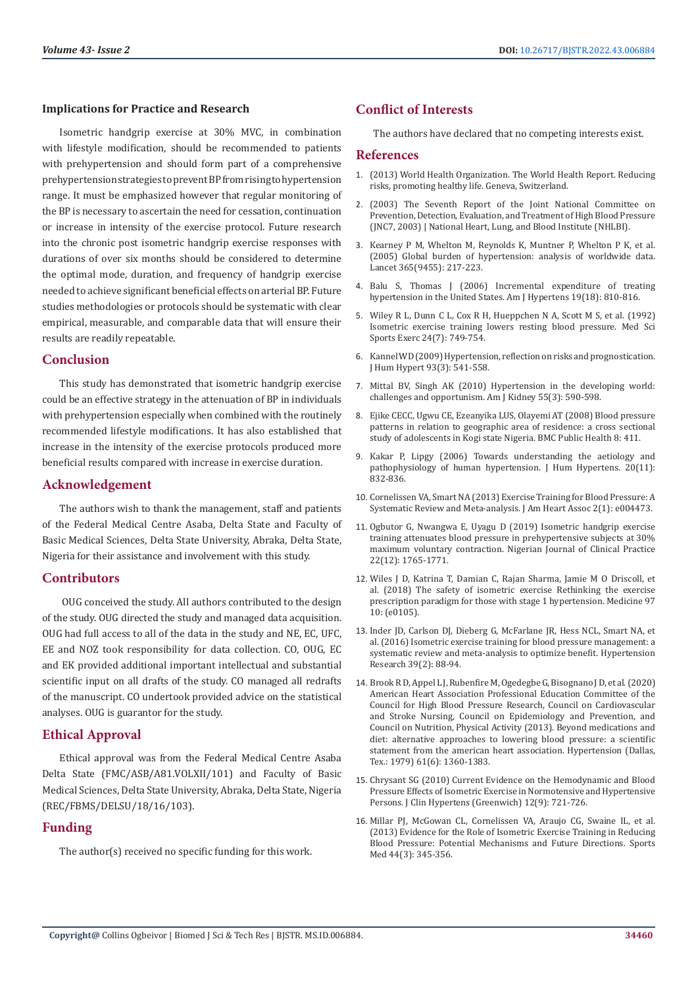#### **Implications for Practice and Research**

Isometric handgrip exercise at 30% MVC, in combination with lifestyle modification, should be recommended to patients with prehypertension and should form part of a comprehensive prehypertension strategies to prevent BP from rising to hypertension range. It must be emphasized however that regular monitoring of the BP is necessary to ascertain the need for cessation, continuation or increase in intensity of the exercise protocol. Future research into the chronic post isometric handgrip exercise responses with durations of over six months should be considered to determine the optimal mode, duration, and frequency of handgrip exercise needed to achieve significant beneficial effects on arterial BP. Future studies methodologies or protocols should be systematic with clear empirical, measurable, and comparable data that will ensure their results are readily repeatable.

# **Conclusion**

This study has demonstrated that isometric handgrip exercise could be an effective strategy in the attenuation of BP in individuals with prehypertension especially when combined with the routinely recommended lifestyle modifications. It has also established that increase in the intensity of the exercise protocols produced more beneficial results compared with increase in exercise duration.

# **Acknowledgement**

The authors wish to thank the management, staff and patients of the Federal Medical Centre Asaba, Delta State and Faculty of Basic Medical Sciences, Delta State University, Abraka, Delta State, Nigeria for their assistance and involvement with this study.

# **Contributors**

 OUG conceived the study. All authors contributed to the design of the study. OUG directed the study and managed data acquisition. OUG had full access to all of the data in the study and NE, EC, UFC, EE and NOZ took responsibility for data collection. CO, OUG, EC and EK provided additional important intellectual and substantial scientific input on all drafts of the study. CO managed all redrafts of the manuscript. CO undertook provided advice on the statistical analyses. OUG is guarantor for the study.

# **Ethical Approval**

Ethical approval was from the Federal Medical Centre Asaba Delta State (FMC/ASB/A81.VOLXII/101) and Faculty of Basic Medical Sciences, Delta State University, Abraka, Delta State, Nigeria (REC/FBMS/DELSU/18/16/103).

# **Funding**

The author(s) received no specific funding for this work.

# **Conflict of Interests**

The authors have declared that no competing interests exist.

# **References**

- 1. (2013) World Health Organization. The World Health Report. Reducing risks, promoting healthy life. Geneva, Switzerland.
- 2. (2003) The Seventh Report of the Joint National Committee on Prevention, Detection, Evaluation, and Treatment of High Blood Pressure (JNC7, 2003) | National Heart, Lung, and Blood Institute (NHLBI).
- 3. [Kearney P M, Whelton M, Reynolds K, Muntner P, Whelton P K, et al.](https://pubmed.ncbi.nlm.nih.gov/15652604/) [\(2005\) Global burden of hypertension: analysis of worldwide data.](https://pubmed.ncbi.nlm.nih.gov/15652604/) [Lancet 365\(9455\): 217-223.](https://pubmed.ncbi.nlm.nih.gov/15652604/)
- 4. Balu S, Thomas J (2006) Incremental expenditure of treating hypertension in the United States. Am J Hypertens 19(18): 810-816.
- 5. [Wiley R L, Dunn C L, Cox R H, Hueppchen N A, Scott M S, et al. \(1992\)](https://pubmed.ncbi.nlm.nih.gov/1501558/) [Isometric exercise training lowers resting blood pressure. Med Sci](https://pubmed.ncbi.nlm.nih.gov/1501558/) [Sports Exerc 24\(7\): 749-754.](https://pubmed.ncbi.nlm.nih.gov/1501558/)
- 6. [Kannel WD \(2009\) Hypertension, reflection on risks and prognostication.](https://www.ncbi.nlm.nih.gov/pmc/articles/PMC3719976/) [J Hum Hypert 93\(3\): 541-558.](https://www.ncbi.nlm.nih.gov/pmc/articles/PMC3719976/)
- 7. [Mittal BV, Singh AK \(2010\) Hypertension in the developing world:](https://pubmed.ncbi.nlm.nih.gov/19962803/) [challenges and opportunism. Am J Kidney 55\(3\): 590-598.](https://pubmed.ncbi.nlm.nih.gov/19962803/)
- 8. [Ejike CECC, Ugwu CE, Ezeanyika LUS, Olayemi AT \(2008\) Blood pressure](https://bmcpublichealth.biomedcentral.com/articles/10.1186/1471-2458-8-411) [patterns in relation to geographic area of residence: a cross sectional](https://bmcpublichealth.biomedcentral.com/articles/10.1186/1471-2458-8-411) [study of adolescents in Kogi state Nigeria. BMC Public Health 8: 411.](https://bmcpublichealth.biomedcentral.com/articles/10.1186/1471-2458-8-411)
- 9. [Kakar P, Lipgy \(2006\) Towards understanding the aetiology and](https://pubmed.ncbi.nlm.nih.gov/16929340/) [pathophysiology of human hypertension. J Hum Hypertens. 20\(11\):](https://pubmed.ncbi.nlm.nih.gov/16929340/) [832-836.](https://pubmed.ncbi.nlm.nih.gov/16929340/)
- 10. [Cornelissen VA, Smart NA \(2013\) Exercise Training for Blood Pressure: A](https://pubmed.ncbi.nlm.nih.gov/23525435/) [Systematic Review and Meta-analysis. J Am Heart Assoc 2\(1\): e004473.](https://pubmed.ncbi.nlm.nih.gov/23525435/)
- 11. [Ogbutor G, Nwangwa E, Uyagu D \(2019\) Isometric handgrip exercise](https://pubmed.ncbi.nlm.nih.gov/31793486/) [training attenuates blood pressure in prehypertensive subjects at 30%](https://pubmed.ncbi.nlm.nih.gov/31793486/) [maximum voluntary contraction. Nigerian Journal of Clinical Practice](https://pubmed.ncbi.nlm.nih.gov/31793486/) [22\(12\): 1765-1771.](https://pubmed.ncbi.nlm.nih.gov/31793486/)
- 12. [Wiles J D, Katrina T, Damian C, Rajan Sharma, Jamie M O Driscoll, et](https://www.ncbi.nlm.nih.gov/pmc/articles/PMC5882444/) [al. \(2018\) The safety of isometric exercise Rethinking the exercise](https://www.ncbi.nlm.nih.gov/pmc/articles/PMC5882444/) [prescription paradigm for those with stage 1 hypertension. Medicine 97](https://www.ncbi.nlm.nih.gov/pmc/articles/PMC5882444/) [10: \(e0105\).](https://www.ncbi.nlm.nih.gov/pmc/articles/PMC5882444/)
- 13. [Inder JD, Carlson DJ, Dieberg G, McFarlane JR, Hess NCL, Smart NA, et](https://pubmed.ncbi.nlm.nih.gov/26467494/) [al. \(2016\) Isometric exercise training for blood pressure management: a](https://pubmed.ncbi.nlm.nih.gov/26467494/) [systematic review and meta-analysis to optimize benefit. Hypertension](https://pubmed.ncbi.nlm.nih.gov/26467494/) [Research 39\(2\): 88-94.](https://pubmed.ncbi.nlm.nih.gov/26467494/)
- 14. Brook R D, Appel L J, Rubenfire M, Ogedegbe G, Bisognano J D, et al. (2020) American Heart Association Professional Education Committee of the Council for High Blood Pressure Research, Council on Cardiovascular and Stroke Nursing, Council on Epidemiology and Prevention, and Council on Nutrition, Physical Activity (2013). Beyond medications and diet: alternative approaches to lowering blood pressure: a scientific statement from the american heart association. Hypertension (Dallas, Tex.: 1979) 61(6): 1360-1383.
- 15. [Chrysant SG \(2010\) Current Evidence on the Hemodynamic and Blood](https://pubmed.ncbi.nlm.nih.gov/20883233/) [Pressure Effects of Isometric Exercise in Normotensive and Hypertensive](https://pubmed.ncbi.nlm.nih.gov/20883233/) [Persons. J Clin Hypertens \(Greenwich\) 12\(9\): 721-726.](https://pubmed.ncbi.nlm.nih.gov/20883233/)
- 16. [Millar PJ, McGowan CL, Cornelissen VA, Araujo CG, Swaine IL, et al.](https://pubmed.ncbi.nlm.nih.gov/24174307/) [\(2013\) Evidence for the Role of Isometric Exercise Training in Reducing](https://pubmed.ncbi.nlm.nih.gov/24174307/) [Blood Pressure: Potential Mechanisms and Future Directions. Sports](https://pubmed.ncbi.nlm.nih.gov/24174307/) [Med 44\(3\): 345-356.](https://pubmed.ncbi.nlm.nih.gov/24174307/)